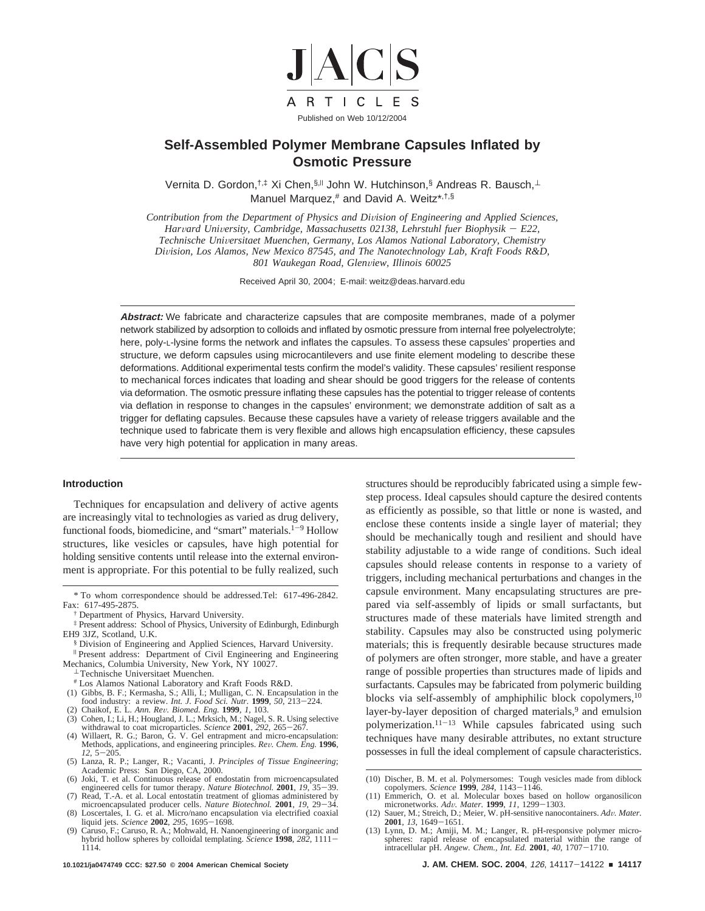

## **Self-Assembled Polymer Membrane Capsules Inflated by Osmotic Pressure**

Vernita D. Gordon,<sup>†,‡</sup> Xi Chen,<sup>§,||</sup> John W. Hutchinson,§ Andreas R. Bausch,<sup>⊥</sup> Manuel Marquez,# and David A. Weitz\*,<sup>†,§</sup>

*Contribution from the Department of Physics and Di*V*ision of Engineering and Applied Sciences, Har*V*ard Uni*V*ersity, Cambridge, Massachusetts 02138, Lehrstuhl fuer Biophysik* - *E22, Technische Uni*V*ersitaet Muenchen, Germany, Los Alamos National Laboratory, Chemistry Di*V*ision, Los Alamos, New Mexico 87545, and The Nanotechnology Lab, Kraft Foods R&D, 801 Waukegan Road, Glen*V*iew, Illinois 60025*

Received April 30, 2004; E-mail: weitz@deas.harvard.edu

**Abstract:** We fabricate and characterize capsules that are composite membranes, made of a polymer network stabilized by adsorption to colloids and inflated by osmotic pressure from internal free polyelectrolyte; here, poly-L-lysine forms the network and inflates the capsules. To assess these capsules' properties and structure, we deform capsules using microcantilevers and use finite element modeling to describe these deformations. Additional experimental tests confirm the model's validity. These capsules' resilient response to mechanical forces indicates that loading and shear should be good triggers for the release of contents via deformation. The osmotic pressure inflating these capsules has the potential to trigger release of contents via deflation in response to changes in the capsules' environment; we demonstrate addition of salt as a trigger for deflating capsules. Because these capsules have a variety of release triggers available and the technique used to fabricate them is very flexible and allows high encapsulation efficiency, these capsules have very high potential for application in many areas.

## **Introduction**

Techniques for encapsulation and delivery of active agents are increasingly vital to technologies as varied as drug delivery, functional foods, biomedicine, and "smart" materials. $1-9$  Hollow structures, like vesicles or capsules, have high potential for holding sensitive contents until release into the external environment is appropriate. For this potential to be fully realized, such

- 
- # Los Alamos National Laboratory and Kraft Foods R&D. (1) Gibbs, B. F.; Kermasha, S.; Alli, I.; Mulligan, C. N. Encapsulation in the
- food industry: a review. *Int. J. Food Sci. Nutr.* **<sup>1999</sup>**, *<sup>50</sup>*, 213-224.
- (2) Chaikof, E. L. *Ann. Re*V*. Biomed. Eng.* **<sup>1999</sup>**, *<sup>1</sup>*, 103. (3) Cohen, I.; Li, H.; Hougland, J. L.; Mrksich, M.; Nagel, S. R. Using selective
- withdrawal to coat microparticles. *Science* **<sup>2001</sup>**, *<sup>292</sup>*, 265-267. (4) Willaert, R. G.; Baron, G. V. Gel entrapment and micro-encapsulation: Methods, applications, and engineering principles. *Re*V*. Chem. Eng.* **<sup>1996</sup>**,
- *<sup>12</sup>*, 5-205. (5) Lanza, R. P.; Langer, R.; Vacanti, J. *Principles of Tissue Engineering*; Academic Press: San Diego, CA, 2000.
- (6) Joki, T. et al. Continuous release of endostatin from microencapsulated engineered cells for tumor therapy. Nature Biotechnol.  $2001$ ,  $19$ ,  $35-39$ . engineered cells for tumor therapy. *Nature Biotechnol.* **<sup>2001</sup>**, *<sup>19</sup>*, 35-39. (7) Read, T.-A. et al. Local entostatin treatment of gliomas administered by
- microencapsulated producer cells. *Nature Biotechnol.* **<sup>2001</sup>**, *<sup>19</sup>*, 29-34. (8) Loscertales, I. G. et al. Micro/nano encapsulation via electrified coaxial
- liquid jets. *Science* **<sup>2002</sup>**, *<sup>295</sup>*, 1695-1698. (9) Caruso, F.; Caruso, R. A.; Mohwald, H. Nanoengineering of inorganic and hybrid hollow spheres by colloidal templating. *Science* **<sup>1998</sup>**, *<sup>282</sup>*, 1111- 1114.

**10.1021/ja0474749 CCC: \$27.50 © 2004 American Chemical Society J. AM. CHEM. SOC. 2004**, <sup>126</sup>, 14117-<sup>14122</sup> <sup>9</sup> **<sup>14117</sup>**

structures should be reproducibly fabricated using a simple fewstep process. Ideal capsules should capture the desired contents as efficiently as possible, so that little or none is wasted, and enclose these contents inside a single layer of material; they should be mechanically tough and resilient and should have stability adjustable to a wide range of conditions. Such ideal capsules should release contents in response to a variety of triggers, including mechanical perturbations and changes in the capsule environment. Many encapsulating structures are prepared via self-assembly of lipids or small surfactants, but structures made of these materials have limited strength and stability. Capsules may also be constructed using polymeric materials; this is frequently desirable because structures made of polymers are often stronger, more stable, and have a greater range of possible properties than structures made of lipids and surfactants. Capsules may be fabricated from polymeric building blocks via self-assembly of amphiphilic block copolymers,<sup>10</sup> layer-by-layer deposition of charged materials,<sup>9</sup> and emulsion polymerization. $11-13$  While capsules fabricated using such techniques have many desirable attributes, no extant structure possesses in full the ideal complement of capsule characteristics.

<sup>\*</sup> To whom correspondence should be addressed.Tel: 617-496-2842. Fax: 617-495-2875.

<sup>†</sup> Department of Physics, Harvard University.

<sup>‡</sup> Present address: School of Physics, University of Edinburgh, Edinburgh EH9 3JZ, Scotland, U.K.

<sup>§</sup> Division of Engineering and Applied Sciences, Harvard University. <sup>|</sup> Present address: Department of Civil Engineering and Engineering

Mechanics, Columbia University, New York, NY 10027.<br>⊥Technische Universitaet Muenchen.

<sup>(10)</sup> Discher, B. M. et al. Polymersomes: Tough vesicles made from diblock copolymers. *Science* **<sup>1999</sup>**, *<sup>284</sup>*, 1143-1146. (11) Emmerich, O. et al. Molecular boxes based on hollow organosilicon

micronetworks. *Ad*V*. Mater.* **<sup>1999</sup>**, *<sup>11</sup>*, 1299-1303.

<sup>(12)</sup> Sauer, M.; Streich, D.; Meier, W. pH-sensitive nanocontainers. *Ad*V*. Mater.* **<sup>2001</sup>**, *<sup>13</sup>*, 1649-1651. (13) Lynn, D. M.; Amiji, M. M.; Langer, R. pH-responsive polymer micro-

spheres: rapid release of encapsulated material within the range of intracellular pH. *Angew. Chem., Int. Ed.* **<sup>2001</sup>**, *<sup>40</sup>*, 1707-1710.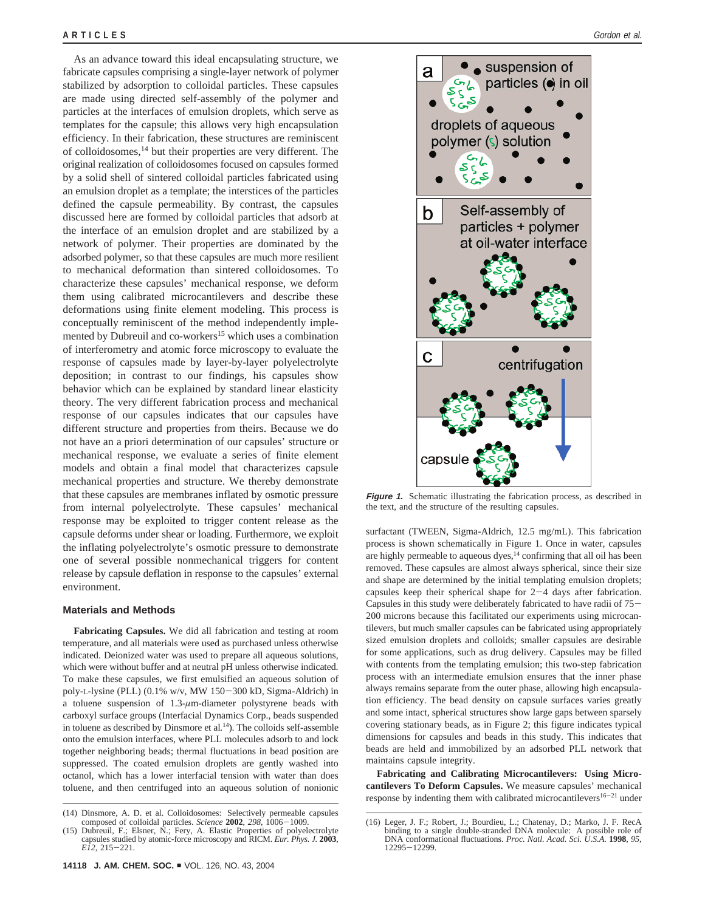As an advance toward this ideal encapsulating structure, we fabricate capsules comprising a single-layer network of polymer stabilized by adsorption to colloidal particles. These capsules are made using directed self-assembly of the polymer and particles at the interfaces of emulsion droplets, which serve as templates for the capsule; this allows very high encapsulation efficiency. In their fabrication, these structures are reminiscent of colloidosomes,14 but their properties are very different. The original realization of colloidosomes focused on capsules formed by a solid shell of sintered colloidal particles fabricated using an emulsion droplet as a template; the interstices of the particles defined the capsule permeability. By contrast, the capsules discussed here are formed by colloidal particles that adsorb at the interface of an emulsion droplet and are stabilized by a network of polymer. Their properties are dominated by the adsorbed polymer, so that these capsules are much more resilient to mechanical deformation than sintered colloidosomes. To characterize these capsules' mechanical response, we deform them using calibrated microcantilevers and describe these deformations using finite element modeling. This process is conceptually reminiscent of the method independently implemented by Dubreuil and co-workers<sup>15</sup> which uses a combination of interferometry and atomic force microscopy to evaluate the response of capsules made by layer-by-layer polyelectrolyte deposition; in contrast to our findings, his capsules show behavior which can be explained by standard linear elasticity theory. The very different fabrication process and mechanical response of our capsules indicates that our capsules have different structure and properties from theirs. Because we do not have an a priori determination of our capsules' structure or mechanical response, we evaluate a series of finite element models and obtain a final model that characterizes capsule mechanical properties and structure. We thereby demonstrate that these capsules are membranes inflated by osmotic pressure from internal polyelectrolyte. These capsules' mechanical response may be exploited to trigger content release as the capsule deforms under shear or loading. Furthermore, we exploit the inflating polyelectrolyte's osmotic pressure to demonstrate one of several possible nonmechanical triggers for content release by capsule deflation in response to the capsules' external environment.

## **Materials and Methods**

**Fabricating Capsules.** We did all fabrication and testing at room temperature, and all materials were used as purchased unless otherwise indicated. Deionized water was used to prepare all aqueous solutions, which were without buffer and at neutral pH unless otherwise indicated. To make these capsules, we first emulsified an aqueous solution of poly-L-lysine (PLL) (0.1% w/v, MW 150-300 kD, Sigma-Aldrich) in a toluene suspension of 1.3-*µ*m-diameter polystyrene beads with carboxyl surface groups (Interfacial Dynamics Corp., beads suspended in toluene as described by Dinsmore et al*.* 14). The colloids self-assemble onto the emulsion interfaces, where PLL molecules adsorb to and lock together neighboring beads; thermal fluctuations in bead position are suppressed. The coated emulsion droplets are gently washed into octanol, which has a lower interfacial tension with water than does toluene, and then centrifuged into an aqueous solution of nonionic



**Figure 1.** Schematic illustrating the fabrication process, as described in the text, and the structure of the resulting capsules.

surfactant (TWEEN, Sigma-Aldrich, 12.5 mg/mL). This fabrication process is shown schematically in Figure 1. Once in water, capsules are highly permeable to aqueous dyes, $14$  confirming that all oil has been removed. These capsules are almost always spherical, since their size and shape are determined by the initial templating emulsion droplets; capsules keep their spherical shape for  $2-4$  days after fabrication. Capsules in this study were deliberately fabricated to have radii of 75- 200 microns because this facilitated our experiments using microcantilevers, but much smaller capsules can be fabricated using appropriately sized emulsion droplets and colloids; smaller capsules are desirable for some applications, such as drug delivery. Capsules may be filled with contents from the templating emulsion; this two-step fabrication process with an intermediate emulsion ensures that the inner phase always remains separate from the outer phase, allowing high encapsulation efficiency. The bead density on capsule surfaces varies greatly and some intact, spherical structures show large gaps between sparsely covering stationary beads, as in Figure 2; this figure indicates typical dimensions for capsules and beads in this study. This indicates that beads are held and immobilized by an adsorbed PLL network that maintains capsule integrity.

**Fabricating and Calibrating Microcantilevers: Using Microcantilevers To Deform Capsules.** We measure capsules' mechanical response by indenting them with calibrated microcantilevers<sup>16-21</sup> under

<sup>(14)</sup> Dinsmore, A. D. et al. Colloidosomes: Selectively permeable capsules composed of colloidal particles. *Science* **<sup>2002</sup>**, *<sup>298</sup>*, 1006-1009. (15) Dubreuil, F.; Elsner, N.; Fery, A. Elastic Properties of polyelectrolyte

psules studied by atomic-force microscopy and RICM. *Eur. Phys. J.* 2003, *E12*, 215-221.

<sup>(16)</sup> Leger, J. F.; Robert, J.; Bourdieu, L.; Chatenay, D.; Marko, J. F. RecA binding to a single double-stranded DNA molecule: A possible role of DNA conformational fluctuations. *Proc. Natl. Acad. Sci. U.S.A.* **<sup>1998</sup>**, *<sup>95</sup>*, <sup>12295</sup>-12299.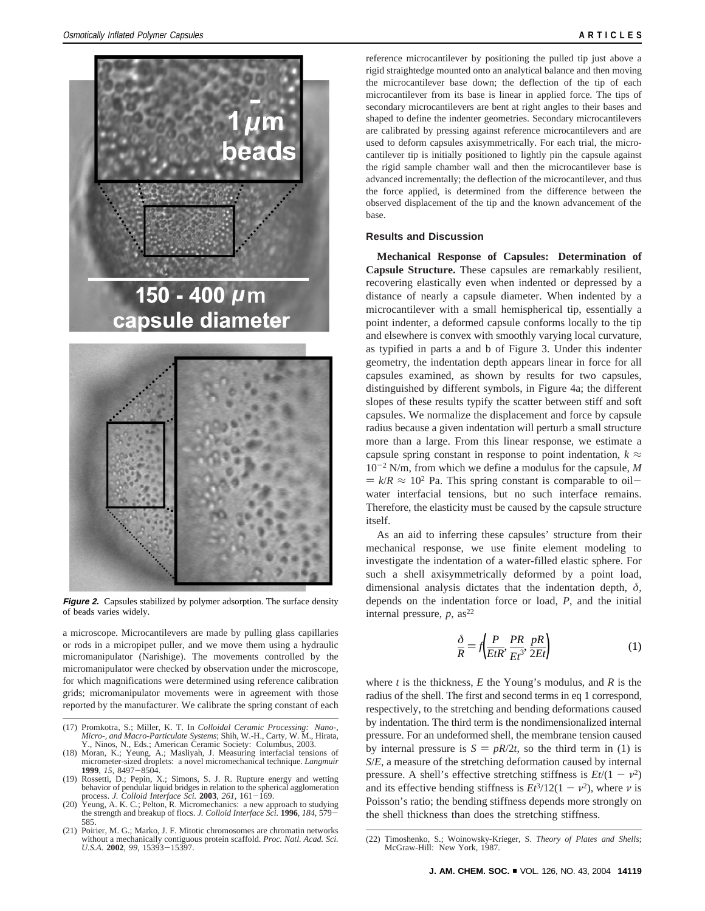

**Figure 2.** Capsules stabilized by polymer adsorption. The surface density of beads varies widely.

a microscope. Microcantilevers are made by pulling glass capillaries or rods in a micropipet puller, and we move them using a hydraulic micromanipulator (Narishige). The movements controlled by the micromanipulator were checked by observation under the microscope, for which magnifications were determined using reference calibration grids; micromanipulator movements were in agreement with those reported by the manufacturer. We calibrate the spring constant of each

- (17) Promkotra, S.; Miller, K. T. In *Colloidal Ceramic Processing: Nano-, Micro-, and Macro-Particulate Systems*; Shih, W.-H., Carty, W. M., Hirata, Y., Ninos, N., Eds.; American Ceramic Society: Columbus, 2003.
- (18) Moran, K.; Yeung, A.; Masliyah, J. Measuring interfacial tensions of micrometer-sized droplets: a novel micromechanical technique. *Langmuir* **<sup>1999</sup>**, *<sup>15</sup>*, 8497-8504. (19) Rossetti, D.; Pepin, X.; Simons, S. J. R. Rupture energy and wetting
- behavior of pendular liquid bridges in relation to the spherical agglomeration process.  $J$ . Colloid Interface Sci. 2003, 261, 161–169. process. *J. Colloid Interface Sci.* **2003**, 261, 161-169.<br>(20) Yeung, A. K. C.; Pelton, R. Micromechanics: a new approach to studying
- the strength and breakup of flocs. *J. Colloid Interface Sci.* **<sup>1996</sup>**, *<sup>184</sup>*, 579- 585.
- (21) Poirier, M. G.; Marko, J. F. Mitotic chromosomes are chromatin networks without a mechanically contiguous protein scaffold. *Proc. Natl. Acad. Sci. U.S.A.* **<sup>2002</sup>**, *<sup>99</sup>*, 15393-15397.

reference microcantilever by positioning the pulled tip just above a rigid straightedge mounted onto an analytical balance and then moving the microcantilever base down; the deflection of the tip of each microcantilever from its base is linear in applied force. The tips of secondary microcantilevers are bent at right angles to their bases and shaped to define the indenter geometries. Secondary microcantilevers are calibrated by pressing against reference microcantilevers and are used to deform capsules axisymmetrically. For each trial, the microcantilever tip is initially positioned to lightly pin the capsule against the rigid sample chamber wall and then the microcantilever base is advanced incrementally; the deflection of the microcantilever, and thus the force applied, is determined from the difference between the observed displacement of the tip and the known advancement of the base.

## **Results and Discussion**

**Mechanical Response of Capsules: Determination of Capsule Structure.** These capsules are remarkably resilient, recovering elastically even when indented or depressed by a distance of nearly a capsule diameter. When indented by a microcantilever with a small hemispherical tip, essentially a point indenter, a deformed capsule conforms locally to the tip and elsewhere is convex with smoothly varying local curvature, as typified in parts a and b of Figure 3. Under this indenter geometry, the indentation depth appears linear in force for all capsules examined, as shown by results for two capsules, distinguished by different symbols, in Figure 4a; the different slopes of these results typify the scatter between stiff and soft capsules. We normalize the displacement and force by capsule radius because a given indentation will perturb a small structure more than a large. From this linear response, we estimate a capsule spring constant in response to point indentation,  $k \approx$ 10-<sup>2</sup> N/m, from which we define a modulus for the capsule, *M*  $k/R \approx 10^2$  Pa. This spring constant is comparable to oilwater interfacial tensions, but no such interface remains. Therefore, the elasticity must be caused by the capsule structure itself.

As an aid to inferring these capsules' structure from their mechanical response, we use finite element modeling to investigate the indentation of a water-filled elastic sphere. For such a shell axisymmetrically deformed by a point load, dimensional analysis dictates that the indentation depth, *δ*, depends on the indentation force or load, *P*, and the initial internal pressure,  $p$ , as<sup>22</sup>

$$
\frac{\delta}{R} = f\left(\frac{P}{EtR}, \frac{PR}{Et^3}, \frac{pR}{2Et}\right) \tag{1}
$$

where *t* is the thickness, *E* the Young's modulus, and *R* is the radius of the shell. The first and second terms in eq 1 correspond, respectively, to the stretching and bending deformations caused by indentation. The third term is the nondimensionalized internal pressure. For an undeformed shell, the membrane tension caused by internal pressure is  $S = pR/2t$ , so the third term in (1) is *S*/*E*, a measure of the stretching deformation caused by internal pressure. A shell's effective stretching stiffness is  $Et/(1 - v^2)$ and its effective bending stiffness is  $E t^3/12(1 - v^2)$ , where *v* is Poisson's ratio; the bending stiffness depends more strongly on the shell thickness than does the stretching stiffness.

<sup>(22)</sup> Timoshenko, S.; Woinowsky-Krieger, S. *Theory of Plates and Shells*; McGraw-Hill: New York, 1987.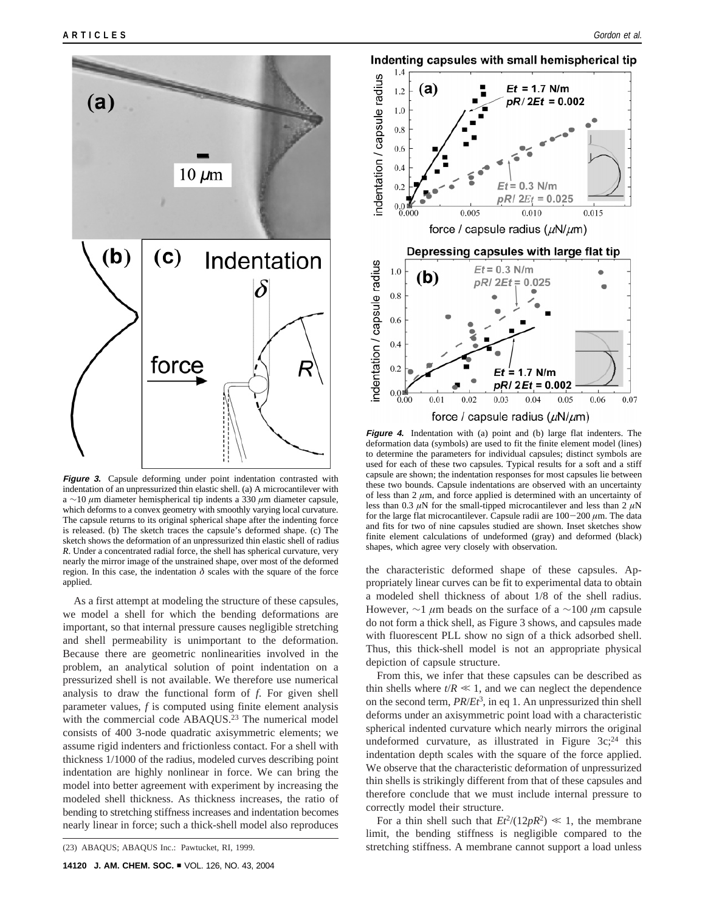

**Figure 3.** Capsule deforming under point indentation contrasted with indentation of an unpressurized thin elastic shell. (a) A microcantilever with a ∼10 *µ*m diameter hemispherical tip indents a 330 *µ*m diameter capsule, which deforms to a convex geometry with smoothly varying local curvature. The capsule returns to its original spherical shape after the indenting force is released. (b) The sketch traces the capsule's deformed shape. (c) The sketch shows the deformation of an unpressurized thin elastic shell of radius *R*. Under a concentrated radial force, the shell has spherical curvature, very nearly the mirror image of the unstrained shape, over most of the deformed region. In this case, the indentation  $\delta$  scales with the square of the force applied.

As a first attempt at modeling the structure of these capsules, we model a shell for which the bending deformations are important, so that internal pressure causes negligible stretching and shell permeability is unimportant to the deformation. Because there are geometric nonlinearities involved in the problem, an analytical solution of point indentation on a pressurized shell is not available. We therefore use numerical analysis to draw the functional form of *f*. For given shell parameter values, *f* is computed using finite element analysis with the commercial code ABAQUS.<sup>23</sup> The numerical model consists of 400 3-node quadratic axisymmetric elements; we assume rigid indenters and frictionless contact. For a shell with thickness 1/1000 of the radius, modeled curves describing point indentation are highly nonlinear in force. We can bring the model into better agreement with experiment by increasing the modeled shell thickness. As thickness increases, the ratio of bending to stretching stiffness increases and indentation becomes nearly linear in force; such a thick-shell model also reproduces





**Figure 4.** Indentation with (a) point and (b) large flat indenters. The deformation data (symbols) are used to fit the finite element model (lines) to determine the parameters for individual capsules; distinct symbols are used for each of these two capsules. Typical results for a soft and a stiff capsule are shown; the indentation responses for most capsules lie between these two bounds. Capsule indentations are observed with an uncertainty of less than  $2 \mu m$ , and force applied is determined with an uncertainty of less than 0.3  $\mu$ N for the small-tipped microcantilever and less than 2  $\mu$ N for the large flat microcantilever. Capsule radii are  $100-200 \ \mu m$ . The data and fits for two of nine capsules studied are shown. Inset sketches show finite element calculations of undeformed (gray) and deformed (black) shapes, which agree very closely with observation.

the characteristic deformed shape of these capsules. Appropriately linear curves can be fit to experimental data to obtain a modeled shell thickness of about 1/8 of the shell radius. However, ∼1 *µ*m beads on the surface of a ∼100 *µ*m capsule do not form a thick shell, as Figure 3 shows, and capsules made with fluorescent PLL show no sign of a thick adsorbed shell. Thus, this thick-shell model is not an appropriate physical depiction of capsule structure.

From this, we infer that these capsules can be described as thin shells where  $t/R \ll 1$ , and we can neglect the dependence on the second term, *PR*/*Et*3, in eq 1. An unpressurized thin shell deforms under an axisymmetric point load with a characteristic spherical indented curvature which nearly mirrors the original undeformed curvature, as illustrated in Figure  $3c$ ;<sup>24</sup> this indentation depth scales with the square of the force applied. We observe that the characteristic deformation of unpressurized thin shells is strikingly different from that of these capsules and therefore conclude that we must include internal pressure to correctly model their structure.

For a thin shell such that  $Et^2/(12pR^2) \ll 1$ , the membrane limit, the bending stiffness is negligible compared to the (23) ABAQUS; ABAQUS Inc.: Pawtucket, RI, 1999. stretching stiffness. A membrane cannot support a load unless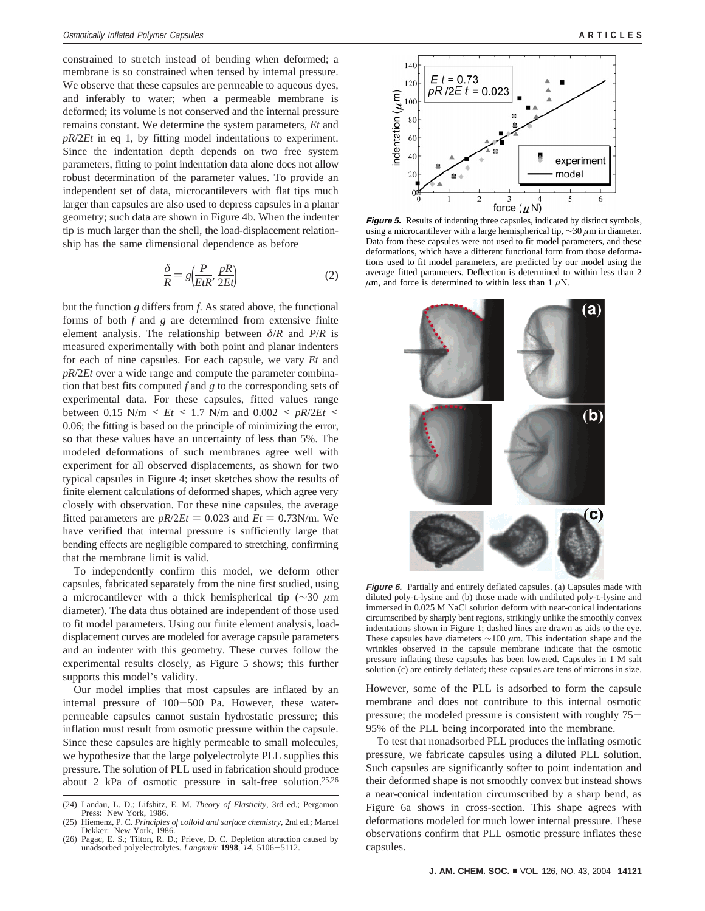constrained to stretch instead of bending when deformed; a membrane is so constrained when tensed by internal pressure. We observe that these capsules are permeable to aqueous dyes, and inferably to water; when a permeable membrane is deformed; its volume is not conserved and the internal pressure remains constant. We determine the system parameters, *Et* and *pR*/2*Et* in eq 1, by fitting model indentations to experiment. Since the indentation depth depends on two free system parameters, fitting to point indentation data alone does not allow robust determination of the parameter values. To provide an independent set of data, microcantilevers with flat tips much larger than capsules are also used to depress capsules in a planar geometry; such data are shown in Figure 4b. When the indenter tip is much larger than the shell, the load-displacement relationship has the same dimensional dependence as before

$$
\frac{\delta}{R} = g \Big( \frac{P}{E t R}, \frac{p R}{2E t} \Big) \tag{2}
$$

but the function *g* differs from *f*. As stated above, the functional forms of both *f* and *g* are determined from extensive finite element analysis. The relationship between  $\delta/R$  and  $P/R$  is measured experimentally with both point and planar indenters for each of nine capsules. For each capsule, we vary *Et* and *pR*/2*Et* over a wide range and compute the parameter combination that best fits computed *f* and *g* to the corresponding sets of experimental data. For these capsules, fitted values range between 0.15 N/m  $\leq Et \leq 1.7$  N/m and 0.002  $\leq pR/2Et \leq$ 0.06; the fitting is based on the principle of minimizing the error, so that these values have an uncertainty of less than 5%. The modeled deformations of such membranes agree well with experiment for all observed displacements, as shown for two typical capsules in Figure 4; inset sketches show the results of finite element calculations of deformed shapes, which agree very closely with observation. For these nine capsules, the average fitted parameters are  $pR/2Et = 0.023$  and  $Et = 0.73N/m$ . We have verified that internal pressure is sufficiently large that bending effects are negligible compared to stretching, confirming that the membrane limit is valid.

To independently confirm this model, we deform other capsules, fabricated separately from the nine first studied, using a microcantilever with a thick hemispherical tip (∼30 *µ*m diameter). The data thus obtained are independent of those used to fit model parameters. Using our finite element analysis, loaddisplacement curves are modeled for average capsule parameters and an indenter with this geometry. These curves follow the experimental results closely, as Figure 5 shows; this further supports this model's validity.

Our model implies that most capsules are inflated by an internal pressure of 100-500 Pa. However, these waterpermeable capsules cannot sustain hydrostatic pressure; this inflation must result from osmotic pressure within the capsule. Since these capsules are highly permeable to small molecules, we hypothesize that the large polyelectrolyte PLL supplies this pressure. The solution of PLL used in fabrication should produce about 2 kPa of osmotic pressure in salt-free solution.25,26





unadsorbed polyelectrolytes. *Langmuir* **<sup>1998</sup>**, *<sup>14</sup>*, 5106-5112.



**Figure 5.** Results of indenting three capsules, indicated by distinct symbols, using a microcantilever with a large hemispherical tip, ∼30 *µ*m in diameter. Data from these capsules were not used to fit model parameters, and these deformations, which have a different functional form from those deformations used to fit model parameters, are predicted by our model using the average fitted parameters. Deflection is determined to within less than 2  $\mu$ m, and force is determined to within less than 1  $\mu$ N.



**Figure 6.** Partially and entirely deflated capsules. (a) Capsules made with diluted poly-L-lysine and (b) those made with undiluted poly-L-lysine and immersed in 0.025 M NaCl solution deform with near-conical indentations circumscribed by sharply bent regions, strikingly unlike the smoothly convex indentations shown in Figure 1; dashed lines are drawn as aids to the eye. These capsules have diameters ∼100 *µ*m. This indentation shape and the wrinkles observed in the capsule membrane indicate that the osmotic pressure inflating these capsules has been lowered. Capsules in 1 M salt solution (c) are entirely deflated; these capsules are tens of microns in size.

However, some of the PLL is adsorbed to form the capsule membrane and does not contribute to this internal osmotic pressure; the modeled pressure is consistent with roughly 75- 95% of the PLL being incorporated into the membrane.

To test that nonadsorbed PLL produces the inflating osmotic pressure, we fabricate capsules using a diluted PLL solution. Such capsules are significantly softer to point indentation and their deformed shape is not smoothly convex but instead shows a near-conical indentation circumscribed by a sharp bend, as Figure 6a shows in cross-section. This shape agrees with deformations modeled for much lower internal pressure. These observations confirm that PLL osmotic pressure inflates these capsules.